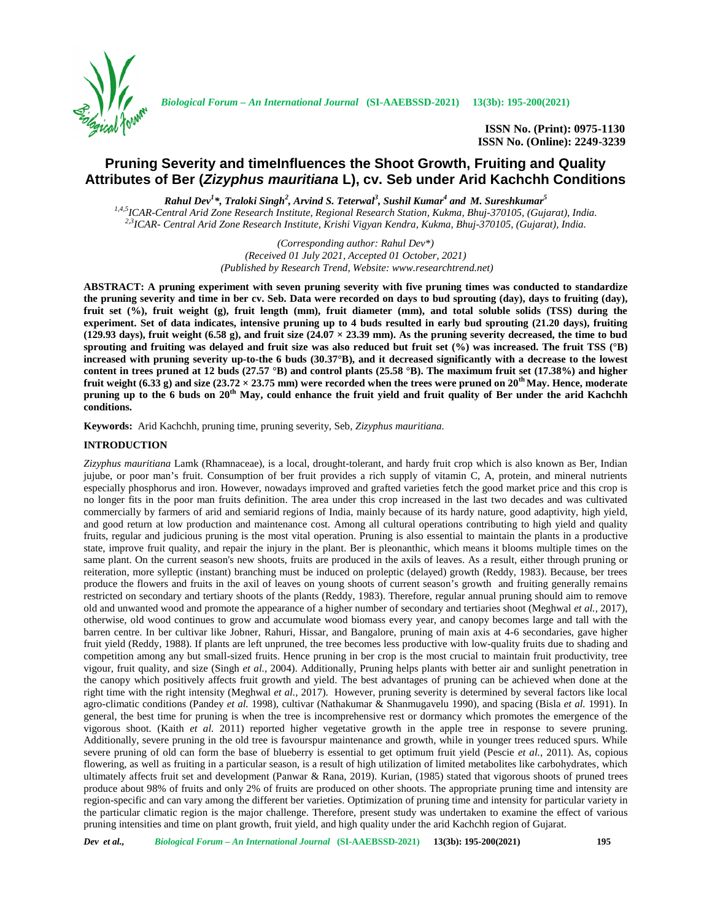

*Biological Forum – An International Journal* **(SI-AAEBSSD-2021) 13(3b): 195-200(2021)**

**ISSN No. (Print): 0975-1130 ISSN No. (Online): 2249-3239**

# **Pruning Severity and timeInfluences the Shoot Growth, Fruiting and Quality Attributes of Ber (***Zizyphus mauritiana* **L), cv. Seb under Arid Kachchh Conditions**

*Rahul Dev<sup>1</sup>\*, Traloki Singh<sup>2</sup> , Arvind S. Teterwal<sup>3</sup> , Sushil Kumar<sup>4</sup> and M. Sureshkumar<sup>5</sup>* <sup>1,4,5</sup>ICAR-Central Arid Zone Research Institute, Regional Research Station, Kukma, Bhuj-370105, (Gujarat), India.<br><sup>2,3</sup>ICAR- Central Arid Zone Research Institute, Krishi Vigyan Kendra, Kukma, Bhuj-370105, (Gujarat), India

> *(Corresponding author: Rahul Dev\*) (Received 01 July 2021, Accepted 01 October, 2021) (Published by Research Trend, Website: <www.researchtrend.net>)*

**ABSTRACT: A pruning experiment with seven pruning severity with five pruning times was conducted to standardize the pruning severity and time in ber cv. Seb. Data were recorded on days to bud sprouting (day), days to fruiting (day), fruit set (%), fruit weight (g), fruit length (mm), fruit diameter (mm), and total soluble solids (TSS) during the experiment. Set of data indicates, intensive pruning up to 4 buds resulted in early bud sprouting (21.20 days), fruiting (129.93 days), fruit weight (6.58 g), and fruit size (24.07 × 23.39 mm). As the pruning severity decreased, the time to bud sprouting and fruiting was delayed and fruit size was also reduced but fruit set (%) was increased. The fruit TSS (°B) increased with pruning severity up-to-the 6 buds (30.37°B), and it decreased significantly with a decrease to the lowest content in trees pruned at 12 buds (27.57 °B) and control plants (25.58 °B). The maximum fruit set (17.38%) and higher fruit weight (6.33 g) and size (23.72**  $\times$  **23.75 mm) were recorded when the trees were pruned on 20<sup>th</sup> May. Hence, moderate pruning up to the 6 buds on 20th May, could enhance the fruit yield and fruit quality of Ber under the arid Kachchh conditions.**

**Keywords:** Arid Kachchh, pruning time, pruning severity, Seb, *Zizyphus mauritiana.*

## **INTRODUCTION**

*Zizyphus mauritiana* Lamk (Rhamnaceae), is a local, drought-tolerant, and hardy fruit crop which is also known as Ber, Indian jujube, or poor man's fruit. Consumption of ber fruit provides a rich supply of vitamin C, A, protein, and mineral nutrients especially phosphorus and iron. However, nowadays improved and grafted varieties fetch the good market price and this crop is no longer fits in the poor man fruits definition. The area under this crop increased in the last two decades and was cultivated commercially by farmers of arid and semiarid regions of India, mainly because of its hardy nature, good adaptivity, high yield, and good return at low production and maintenance cost. Among all cultural operations contributing to high yield and quality fruits, regular and judicious pruning is the most vital operation. Pruning is also essential to maintain the plants in a productive state, improve fruit quality, and repair the injury in the plant. Ber is pleonanthic, which means it blooms multiple times on the same plant. On the current season's new shoots, fruits are produced in the axils of leaves. As a result, either through pruning or reiteration, more sylleptic (instant) branching must be induced on proleptic (delayed) growth (Reddy, 1983). Because, ber trees produce the flowers and fruits in the axil of leaves on young shoots of current season's growth and fruiting generally remains restricted on secondary and tertiary shoots of the plants (Reddy, 1983). Therefore, regular annual pruning should aim to remove old and unwanted wood and promote the appearance of a higher number of secondary and tertiaries shoot (Meghwal *et al.,* 2017), otherwise, old wood continues to grow and accumulate wood biomass every year, and canopy becomes large and tall with the barren centre. In ber cultivar like Jobner, Rahuri, Hissar, and Bangalore, pruning of main axis at 4-6 secondaries, gave higher fruit yield (Reddy, 1988). If plants are left unpruned, the tree becomes less productive with low-quality fruits due to shading and competition among any but small-sized fruits. Hence pruning in ber crop is the most crucial to maintain fruit productivity, tree vigour, fruit quality, and size (Singh *et al.,* 2004). Additionally, Pruning helps plants with better air and sunlight penetration in the canopy which positively affects fruit growth and yield. The best advantages of pruning can be achieved when done at the right time with the right intensity (Meghwal *et al.,* 2017). However, pruning severity is determined by several factors like local agro-climatic conditions (Pandey *et al.* 1998), cultivar (Nathakumar & Shanmugavelu 1990), and spacing (Bisla *et al.* 1991). In general, the best time for pruning is when the tree is incomprehensive rest or dormancy which promotes the emergence of the vigorous shoot. (Kaith *et al.* 2011) reported higher vegetative growth in the apple tree in response to severe pruning. Additionally, severe pruning in the old tree is favourspur maintenance and growth, while in younger trees reduced spurs. While severe pruning of old can form the base of blueberry is essential to get optimum fruit yield (Pescie *et al.,* 2011). As, copious flowering, as well as fruiting in a particular season, is a result of high utilization of limited metabolites like carbohydrates, which ultimately affects fruit set and development (Panwar & Rana, 2019). Kurian, (1985) stated that vigorous shoots of pruned trees produce about 98% of fruits and only 2% of fruits are produced on other shoots. The appropriate pruning time and intensity are region-specific and can vary among the different ber varieties. Optimization of pruning time and intensity for particular variety in the particular climatic region is the major challenge. Therefore, present study was undertaken to examine the effect of various pruning intensities and time on plant growth, fruit yield, and high quality under the arid Kachchh region of Gujarat.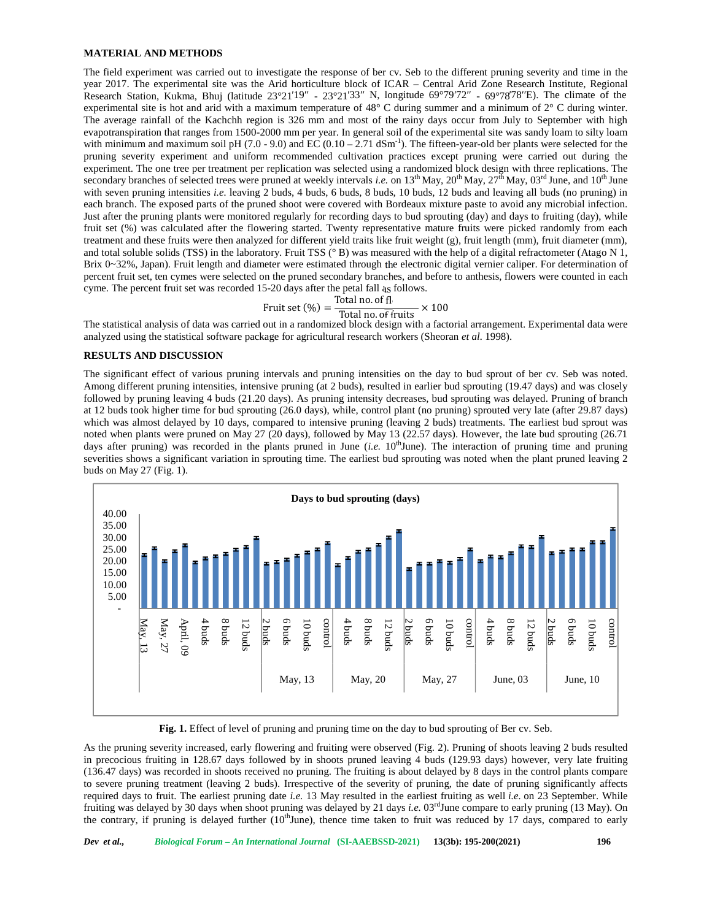### **MATERIAL AND METHODS**

The field experiment was carried out to investigate the response of ber cv. Seb to the different pruning severity and time in the year 2017. The experimental site was the Arid horticulture block of ICAR – Central Arid Zone Research Institute, Regional Research Station, Kukma, Bhuj (latitude 23°21<sup>19</sup> - 23°21<sup>33</sup> N, longitude 69°79<sup>72</sup> - 69°78<sup>78</sup> E). The climate of the experimental site is hot and arid with a maximum temperature of 48° C during summer and a minimum of 2° C during winter. The average rainfall of the Kachchh region is 326 mm and most of the rainy days occur from July to September with high evapotranspiration that ranges from 1500-2000 mm per year. In general soil of the experimental site was sandy loam to silty loam with minimum and maximum soil pH (7.0 - 9.0) and EC (0.10 - 2.71 dSm<sup>-1</sup>). The fifteen-year-old ber plants were selected for the pruning severity experiment and uniform recommended cultivation practices except pruning were carried out during the experiment. The one tree per treatment per replication was selected using a randomized block design with three replications. The secondary branches of selected trees were pruned at weekly intervals *i.e.* on  $13<sup>th</sup>$  May,  $20<sup>th</sup>$  May,  $27<sup>th</sup>$  May,  $03<sup>rd</sup>$  June, and  $10<sup>th</sup>$  June with seven pruning intensities *i.e.* leaving 2 buds, 4 buds, 6 buds, 8 buds, 10 buds, 12 buds and leaving all buds (no pruning) in each branch. The exposed parts of the pruned shoot were covered with Bordeaux mixture paste to avoid any microbial infection. Just after the pruning plants were monitored regularly for recording days to bud sprouting (day) and days to fruiting (day), while fruit set (%) was calculated after the flowering started. Twenty representative mature fruits were picked randomly from each treatment and these fruits were then analyzed for different yield traits like fruit weight (g), fruit length (mm), fruit diameter (mm), and total soluble solids (TSS) in the laboratory. Fruit TSS (° B) was measured with the help of a digital refractometer (Atago N 1, Brix 0~32%, Japan). Fruit length and diameter were estimated through the electronic digital vernier caliper. For determination of percent fruit set, ten cymes were selected on the pruned secondary branches, and before to anthesis, flowers were counted in each cyme. The percent fruit set was recorded 15-20 days after the petal fall as follows.

#### Fruit set  $(\%) =$ Total no. of  $T_{\text{total no. of fruits}} \times 100$

The statistical analysis of data was carried out in a randomized block design with a factorial arrangement. Experimental data were analyzed using the statistical software package for agricultural research workers (Sheoran *et al.* 1998).

### **RESULTS AND DISCUSSION**

The significant effect of various pruning intervals and pruning intensities on the day to bud sprout of ber cv. Seb was noted. Among different pruning intensities, intensive pruning (at 2 buds), resulted in earlier bud sprouting (19.47 days) and was closely followed by pruning leaving 4 buds (21.20 days). As pruning intensity decreases, bud sprouting was delayed. Pruning of branch at 12 buds took higher time for bud sprouting (26.0 days), while, control plant (no pruning) sprouted very late (after 29.87 days) which was almost delayed by 10 days, compared to intensive pruning (leaving 2 buds) treatments. The earliest bud sprout was noted when plants were pruned on May 27 (20 days), followed by May 13 (22.57 days). However, the late bud sprouting (26.71 days after pruning) was recorded in the plants pruned in June  $(i.e. 10<sup>th</sup>$ June). The interaction of pruning time and pruning severities shows a significant variation in sprouting time. The earliest bud sprouting was noted when the plant pruned leaving 2 buds on May 27 (Fig. 1).



**Fig. 1.** Effect of level of pruning and pruning time on the day to bud sprouting of Ber cv. Seb.

As the pruning severity increased, early flowering and fruiting were observed (Fig. 2). Pruning of shoots leaving 2 buds resulted in precocious fruiting in 128.67 days followed by in shoots pruned leaving 4 buds (129.93 days) however, very late fruiting (136.47 days) was recorded in shoots received no pruning. The fruiting is about delayed by 8 days in the control plants compare to severe pruning treatment (leaving 2 buds). Irrespective of the severity of pruning, the date of pruning significantly affects required days to fruit. The earliest pruning date *i.e.* 13 May resulted in the earliest fruiting as well *i.e.* on 23 September. While fruiting was delayed by 30 days when shoot pruning was delayed by 21 days *i.e.* 03<sup>rd</sup>June compare to early pruning (13 May). On the contrary, if pruning is delayed further  $(10^{th}$ June), thence time taken to fruit was reduced by 17 days, compared to early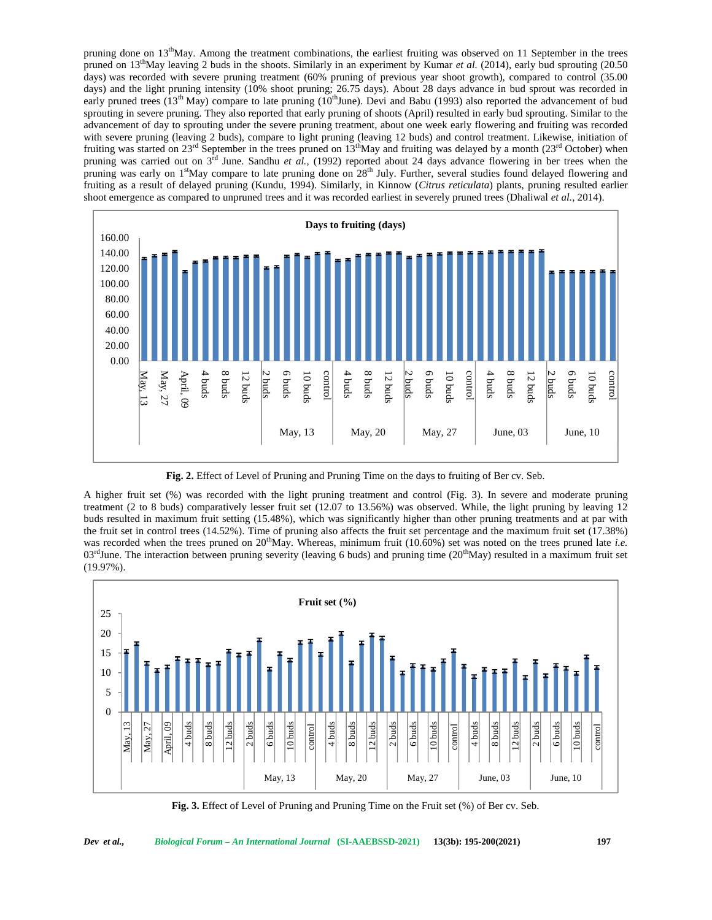pruning done on 13<sup>th</sup>May. Among the treatment combinations, the earliest fruiting was observed on 11 September in the trees pruned on  $13<sup>th</sup>$ May leaving 2 buds in the shoots. Similarly in an experiment by Kumar *et al.* (2014), early bud sprouting (20.50 days) was recorded with severe pruning treatment (60% pruning of previous year shoot growth), compared to control (35.00 days) and the light pruning intensity (10% shoot pruning; 26.75 days). About 28 days advance in bud sprout was recorded in early pruned trees ( $13<sup>th</sup>$  May) compare to late pruning ( $10<sup>th</sup>$ June). Devi and Babu (1993) also reported the advancement of bud sprouting in severe pruning. They also reported that early pruning of shoots (April) resulted in early bud sprouting. Similar to the advancement of day to sprouting under the severe pruning treatment, about one week early flowering and fruiting was recorded with severe pruning (leaving 2 buds), compare to light pruning (leaving 12 buds) and control treatment. Likewise, initiation of fruiting was started on  $23<sup>rd</sup>$  September in the trees pruned on  $13<sup>th</sup>May$  and fruiting was delayed by a month ( $23<sup>rd</sup>$  October) when pruning was carried out on 3rd June. Sandhu *et al.,* (1992) reported about 24 days advance flowering in ber trees when the pruning was early on 1<sup>st</sup>May compare to late pruning done on 28<sup>th</sup> July. Further, several studies found delayed flowering and fruiting as a result of delayed pruning (Kundu, 1994). Similarly, in Kinnow (*Citrus reticulata*) plants, pruning resulted earlier shoot emergence as compared to unpruned trees and it was recorded earliest in severely pruned trees (Dhaliwal *et al.*, 2014).



**Fig. 2.** Effect of Level of Pruning and Pruning Time on the days to fruiting of Ber cv. Seb.

A higher fruit set (%) was recorded with the light pruning treatment and control (Fig. 3). In severe and moderate pruning treatment (2 to 8 buds) comparatively lesser fruit set (12.07 to 13.56%) was observed. While, the light pruning by leaving 12 buds resulted in maximum fruit setting (15.48%), which was significantly higher than other pruning treatments and at par with the fruit set in control trees (14.52%). Time of pruning also affects the fruit set percentage and the maximum fruit set (17.38%) was recorded when the trees pruned on 20<sup>th</sup>May. Whereas, minimum fruit (10.60%) set was noted on the trees pruned late *i.e.*  $03<sup>rd</sup>$  June. The interaction between pruning severity (leaving 6 buds) and pruning time (20<sup>th</sup>May) resulted in a maximum fruit set (19.97%).



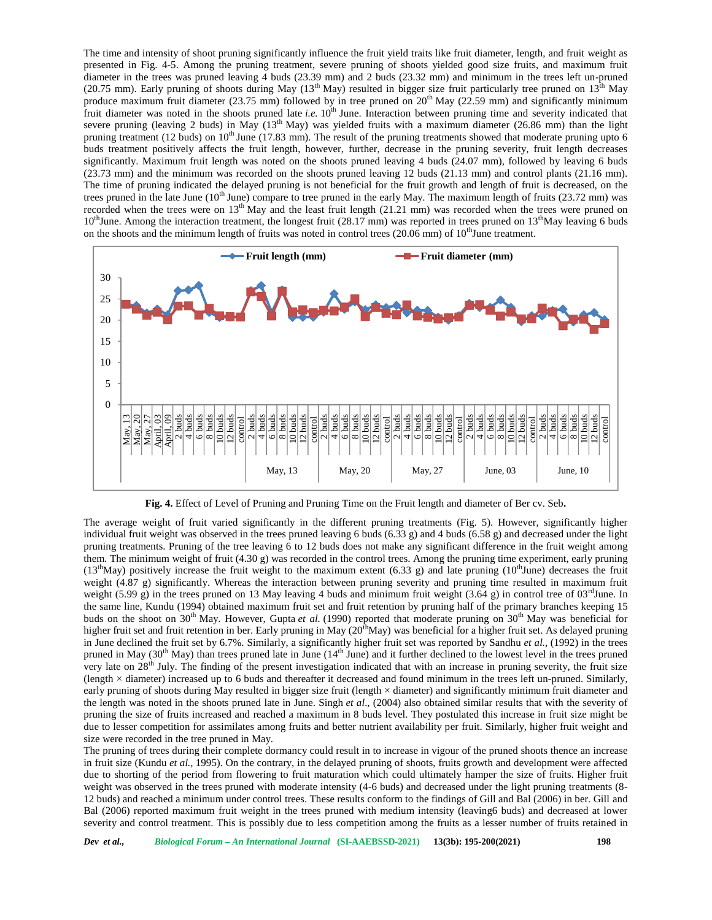The time and intensity of shoot pruning significantly influence the fruit yield traits like fruit diameter, length, and fruit weight as presented in Fig. 4-5. Among the pruning treatment, severe pruning of shoots yielded good size fruits, and maximum fruit diameter in the trees was pruned leaving 4 buds (23.39 mm) and 2 buds (23.32 mm) and minimum in the trees left un-pruned (20.75 mm). Early pruning of shoots during May ( $13<sup>th</sup>$  May) resulted in bigger size fruit particularly tree pruned on  $13<sup>th</sup>$  May produce maximum fruit diameter (23.75 mm) followed by in tree pruned on  $20<sup>th</sup>$  May (22.59 mm) and significantly minimum fruit diameter was noted in the shoots pruned late *i.e.* 10<sup>th</sup> June. Interaction between pruning time and severity indicated that severe pruning (leaving 2 buds) in May  $(13<sup>th</sup>$  May) was yielded fruits with a maximum diameter (26.86 mm) than the light pruning treatment (12 buds) on  $10<sup>th</sup>$  June (17.83 mm). The result of the pruning treatments showed that moderate pruning upto 6 buds treatment positively affects the fruit length, however, further, decrease in the pruning severity, fruit length decreases significantly. Maximum fruit length was noted on the shoots pruned leaving 4 buds (24.07 mm), followed by leaving 6 buds (23.73 mm) and the minimum was recorded on the shoots pruned leaving 12 buds (21.13 mm) and control plants (21.16 mm). The time of pruning indicated the delayed pruning is not beneficial for the fruit growth and length of fruit is decreased, on the trees pruned in the late June (10<sup>th</sup> June) compare to tree pruned in the early May. The maximum length of fruits (23.72 mm) was recorded when the trees were on 13<sup>th</sup> May and the least fruit length (21.21 mm) was recorded when the trees were pruned on  $10^{th}$ June. Among the interaction treatment, the longest fruit (28.17 mm) was reported in trees pruned on  $13^{th}$ May leaving 6 buds on the shoots and the minimum length of fruits was noted in control trees (20.06 mm) of  $10^{th}$ June treatment.



**Fig. 4.** Effect of Level of Pruning and Pruning Time on the Fruit length and diameter of Ber cv. Seb**.**

The average weight of fruit varied significantly in the different pruning treatments (Fig. 5). However, significantly higher individual fruit weight was observed in the trees pruned leaving 6 buds (6.33 g) and 4 buds (6.58 g) and decreased under the light pruning treatments. Pruning of the tree leaving 6 to 12 buds does not make any significant difference in the fruit weight among them. The minimum weight of fruit (4.30 g) was recorded in the control trees. Among the pruning time experiment, early pruning (13<sup>th</sup>May) positively increase the fruit weight to the maximum extent (6.33 g) and late pruning (10<sup>th</sup>June) decreases the fruit weight (4.87 g) significantly. Whereas the interaction between pruning severity and pruning time resulted in maximum fruit weight (5.99 g) in the trees pruned on 13 May leaving 4 buds and minimum fruit weight (3.64 g) in control tree of  $03^{\text{rd}}$ June. In the same line, Kundu (1994) obtained maximum fruit set and fruit retention by pruning half of the primary branches keeping 15 buds on the shoot on 30<sup>th</sup> May. However, Gupta *et al.* (1990) reported that moderate pruning on  $30<sup>th</sup>$  May was beneficial for higher fruit set and fruit retention in ber. Early pruning in May (20<sup>th</sup>May) was beneficial for a higher fruit set. As delayed pruning in June declined the fruit set by 6.7%. Similarly, a significantly higher fruit set was reported by Sandhu *et al.,* (1992) in the trees pruned in May  $(30<sup>th</sup>$  May) than trees pruned late in June  $(14<sup>th</sup>$  June) and it further declined to the lowest level in the trees pruned very late on 28<sup>th</sup> July. The finding of the present investigation indicated that with an increase in pruning severity, the fruit size (length × diameter) increased up to 6 buds and thereafter it decreased and found minimum in the trees left un-pruned. Similarly, early pruning of shoots during May resulted in bigger size fruit (length × diameter) and significantly minimum fruit diameter and the length was noted in the shoots pruned late in June. Singh *et al*., (2004) also obtained similar results that with the severity of pruning the size of fruits increased and reached a maximum in 8 buds level. They postulated this increase in fruit size might be due to lesser competition for assimilates among fruits and better nutrient availability per fruit. Similarly, higher fruit weight and size were recorded in the tree pruned in May.

The pruning of trees during their complete dormancy could result in to increase in vigour of the pruned shoots thence an increase in fruit size (Kundu *et al.,* 1995). On the contrary, in the delayed pruning of shoots, fruits growth and development were affected due to shorting of the period from flowering to fruit maturation which could ultimately hamper the size of fruits. Higher fruit weight was observed in the trees pruned with moderate intensity (4-6 buds) and decreased under the light pruning treatments (8- 12 buds) and reached a minimum under control trees. These results conform to the findings of Gill and Bal (2006) in ber. Gill and Bal (2006) reported maximum fruit weight in the trees pruned with medium intensity (leaving6 buds) and decreased at lower severity and control treatment. This is possibly due to less competition among the fruits as a lesser number of fruits retained in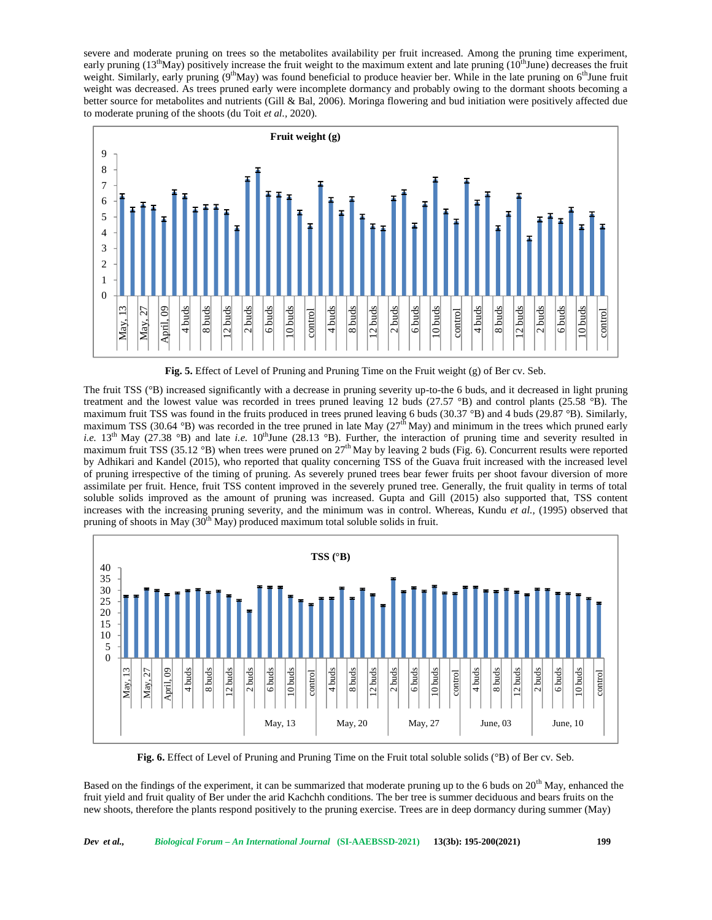severe and moderate pruning on trees so the metabolites availability per fruit increased. Among the pruning time experiment, early pruning  $(13<sup>th</sup>May)$  positively increase the fruit weight to the maximum extent and late pruning  $(10<sup>th</sup>June)$  decreases the fruit weight. Similarly, early pruning  $(9<sup>th</sup>May)$  was found beneficial to produce heavier ber. While in the late pruning on  $6<sup>th</sup>J$ une fruit weight was decreased. As trees pruned early were incomplete dormancy and probably owing to the dormant shoots becoming a better source for metabolites and nutrients (Gill & Bal, 2006). Moringa flowering and bud initiation were positively affected due to moderate pruning of the shoots (du Toit *et al.,* 2020).



**Fig. 5.** Effect of Level of Pruning and Pruning Time on the Fruit weight (g) of Ber cv. Seb.

The fruit TSS (°B) increased significantly with a decrease in pruning severity up-to-the 6 buds, and it decreased in light pruning treatment and the lowest value was recorded in trees pruned leaving 12 buds (27.57 °B) and control plants (25.58 °B). The maximum fruit TSS was found in the fruits produced in trees pruned leaving 6 buds (30.37 °B) and 4 buds (29.87 °B). Similarly, maximum TSS (30.64 °B) was recorded in the tree pruned in late May ( $27<sup>th</sup>$  May) and minimum in the trees which pruned early *i.e.*  $13<sup>th</sup>$  May (27.38 °B) and late *i.e.*  $10<sup>th</sup>$  June (28.13 °B). Further, the interaction of pruning time and severity resulted in maximum fruit TSS (35.12 °B) when trees were pruned on  $27<sup>th</sup>$  May by leaving 2 buds (Fig. 6). Concurrent results were reported by Adhikari and Kandel (2015), who reported that quality concerning TSS of the Guava fruit increased with the increased level of pruning irrespective of the timing of pruning. As severely pruned trees bear fewer fruits per shoot favour diversion of more assimilate per fruit. Hence, fruit TSS content improved in the severely pruned tree. Generally, the fruit quality in terms of total soluble solids improved as the amount of pruning was increased. Gupta and Gill (2015) also supported that, TSS content increases with the increasing pruning severity, and the minimum was in control. Whereas, Kundu *et al.,* (1995) observed that pruning of shoots in May  $(30<sup>th</sup>$  May) produced maximum total soluble solids in fruit.



**Fig. 6.** Effect of Level of Pruning and Pruning Time on the Fruit total soluble solids (°B) of Ber cv. Seb.

Based on the findings of the experiment, it can be summarized that moderate pruning up to the 6 buds on  $20^{th}$  May, enhanced the fruit yield and fruit quality of Ber under the arid Kachchh conditions. The ber tree is summer deciduous and bears fruits on the new shoots, therefore the plants respond positively to the pruning exercise. Trees are in deep dormancy during summer (May)